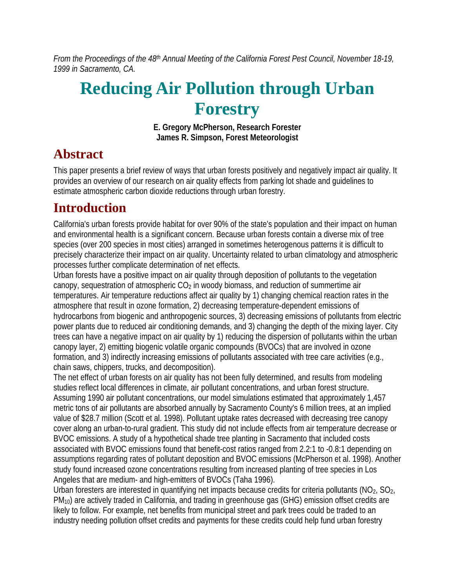*From the Proceedings of the 48th Annual Meeting of the California Forest Pest Council, November 18-19, 1999 in Sacramento, CA.*

# **Reducing Air Pollution through Urban Forestry**

**E. Gregory McPherson, Research Forester James R. Simpson, Forest Meteorologist**

### **Abstract**

This paper presents a brief review of ways that urban forests positively and negatively impact air quality. It provides an overview of our research on air quality effects from parking lot shade and guidelines to estimate atmospheric carbon dioxide reductions through urban forestry.

### **Introduction**

California's urban forests provide habitat for over 90% of the state's population and their impact on human and environmental health is a significant concern. Because urban forests contain a diverse mix of tree species (over 200 species in most cities) arranged in sometimes heterogenous patterns it is difficult to precisely characterize their impact on air quality. Uncertainty related to urban climatology and atmospheric processes further complicate determination of net effects.

Urban forests have a positive impact on air quality through deposition of pollutants to the vegetation canopy, sequestration of atmospheric  $CO<sub>2</sub>$  in woody biomass, and reduction of summertime air temperatures. Air temperature reductions affect air quality by 1) changing chemical reaction rates in the atmosphere that result in ozone formation, 2) decreasing temperature-dependent emissions of hydrocarbons from biogenic and anthropogenic sources, 3) decreasing emissions of pollutants from electric power plants due to reduced air conditioning demands, and 3) changing the depth of the mixing layer. City trees can have a negative impact on air quality by 1) reducing the dispersion of pollutants within the urban canopy layer, 2) emitting biogenic volatile organic compounds (BVOCs) that are involved in ozone formation, and 3) indirectly increasing emissions of pollutants associated with tree care activities (e.g., chain saws, chippers, trucks, and decomposition).

The net effect of urban forests on air quality has not been fully determined, and results from modeling studies reflect local differences in climate, air pollutant concentrations, and urban forest structure. Assuming 1990 air pollutant concentrations, our model simulations estimated that approximately 1,457 metric tons of air pollutants are absorbed annually by Sacramento County's 6 million trees, at an implied value of \$28.7 million (Scott et al. 1998). Pollutant uptake rates decreased with decreasing tree canopy cover along an urban-to-rural gradient. This study did not include effects from air temperature decrease or BVOC emissions. A study of a hypothetical shade tree planting in Sacramento that included costs associated with BVOC emissions found that benefit-cost ratios ranged from 2.2:1 to -0.8:1 depending on assumptions regarding rates of pollutant deposition and BVOC emissions (McPherson et al. 1998). Another study found increased ozone concentrations resulting from increased planting of tree species in Los Angeles that are medium- and high-emitters of BVOCs (Taha 1996).

Urban foresters are interested in quantifying net impacts because credits for criteria pollutants ( $NO<sub>2</sub>$ ,  $SO<sub>2</sub>$ , PM10) are actively traded in California, and trading in greenhouse gas (GHG) emission offset credits are likely to follow. For example, net benefits from municipal street and park trees could be traded to an industry needing pollution offset credits and payments for these credits could help fund urban forestry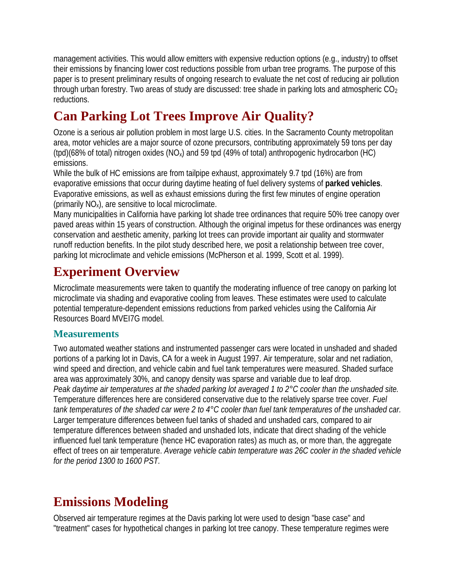management activities. This would allow emitters with expensive reduction options (e.g., industry) to offset their emissions by financing lower cost reductions possible from urban tree programs. The purpose of this paper is to present preliminary results of ongoing research to evaluate the net cost of reducing air pollution through urban forestry. Two areas of study are discussed: tree shade in parking lots and atmospheric  $CO<sub>2</sub>$ reductions.

# **Can Parking Lot Trees Improve Air Quality?**

Ozone is a serious air pollution problem in most large U.S. cities. In the Sacramento County metropolitan area, motor vehicles are a major source of ozone precursors, contributing approximately 59 tons per day (tpd)(68% of total) nitrogen oxides (NO<sub>x</sub>) and 59 tpd (49% of total) anthropogenic hydrocarbon (HC) emissions.

While the bulk of HC emissions are from tailpipe exhaust, approximately 9.7 tpd (16%) are from evaporative emissions that occur during daytime heating of fuel delivery systems of **parked vehicles**. Evaporative emissions, as well as exhaust emissions during the first few minutes of engine operation (primarily NOx), are sensitive to local microclimate.

Many municipalities in California have parking lot shade tree ordinances that require 50% tree canopy over paved areas within 15 years of construction. Although the original impetus for these ordinances was energy conservation and aesthetic amenity, parking lot trees can provide important air quality and stormwater runoff reduction benefits. In the pilot study described here, we posit a relationship between tree cover, parking lot microclimate and vehicle emissions (McPherson et al. 1999, Scott et al. 1999).

# **Experiment Overview**

Microclimate measurements were taken to quantify the moderating influence of tree canopy on parking lot microclimate via shading and evaporative cooling from leaves. These estimates were used to calculate potential temperature-dependent emissions reductions from parked vehicles using the California Air Resources Board MVEI7G model.

#### **Measurements**

Two automated weather stations and instrumented passenger cars were located in unshaded and shaded portions of a parking lot in Davis, CA for a week in August 1997. Air temperature, solar and net radiation, wind speed and direction, and vehicle cabin and fuel tank temperatures were measured. Shaded surface area was approximately 30%, and canopy density was sparse and variable due to leaf drop. *Peak daytime air temperatures at the shaded parking lot averaged 1 to 2°C cooler than the unshaded site.* Temperature differences here are considered conservative due to the relatively sparse tree cover. *Fuel tank temperatures of the shaded car were 2 to 4°C cooler than fuel tank temperatures of the unshaded car.* Larger temperature differences between fuel tanks of shaded and unshaded cars, compared to air temperature differences between shaded and unshaded lots, indicate that direct shading of the vehicle influenced fuel tank temperature (hence HC evaporation rates) as much as, or more than, the aggregate effect of trees on air temperature. *Average vehicle cabin temperature was 26C cooler in the shaded vehicle for the period 1300 to 1600 PST.*

# **Emissions Modeling**

Observed air temperature regimes at the Davis parking lot were used to design "base case" and "treatment" cases for hypothetical changes in parking lot tree canopy. These temperature regimes were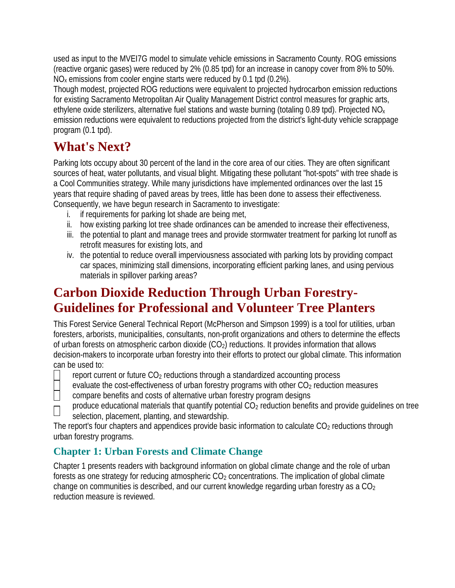used as input to the MVEI7G model to simulate vehicle emissions in Sacramento County. ROG emissions (reactive organic gases) were reduced by 2% (0.85 tpd) for an increase in canopy cover from 8% to 50%.  $NO<sub>x</sub>$  emissions from cooler engine starts were reduced by 0.1 tpd (0.2%).

Though modest, projected ROG reductions were equivalent to projected hydrocarbon emission reductions for existing Sacramento Metropolitan Air Quality Management District control measures for graphic arts, ethylene oxide sterilizers, alternative fuel stations and waste burning (totaling 0.89 tpd). Projected NOx emission reductions were equivalent to reductions projected from the district's light-duty vehicle scrappage program (0.1 tpd).

# **What's Next?**

Parking lots occupy about 30 percent of the land in the core area of our cities. They are often significant sources of heat, water pollutants, and visual blight. Mitigating these pollutant "hot-spots" with tree shade is a Cool Communities strategy. While many jurisdictions have implemented ordinances over the last 15 years that require shading of paved areas by trees, little has been done to assess their effectiveness. Consequently, we have begun research in Sacramento to investigate:

- i. if requirements for parking lot shade are being met,
- ii. how existing parking lot tree shade ordinances can be amended to increase their effectiveness,
- iii. the potential to plant and manage trees and provide stormwater treatment for parking lot runoff as retrofit measures for existing lots, and
- iv. the potential to reduce overall imperviousness associated with parking lots by providing compact car spaces, minimizing stall dimensions, incorporating efficient parking lanes, and using pervious materials in spillover parking areas?

# **Carbon Dioxide Reduction Through Urban Forestry-Guidelines for Professional and Volunteer Tree Planters**

This Forest Service General Technical Report (McPherson and Simpson 1999) is a tool for utilities, urban foresters, arborists, municipalities, consultants, non-profit organizations and others to determine the effects of urban forests on atmospheric carbon dioxide (CO<sub>2</sub>) reductions. It provides information that allows decision-makers to incorporate urban forestry into their efforts to protect our global climate. This information can be used to:

report current or future CO<sub>2</sub> reductions through a standardized accounting process

evaluate the cost-effectiveness of urban forestry programs with other CO<sub>2</sub> reduction measures

compare benefits and costs of alternative urban forestry program designs

produce educational materials that quantify potential CO<sub>2</sub> reduction benefits and provide quidelines on tree selection, placement, planting, and stewardship.

The report's four chapters and appendices provide basic information to calculate CO<sub>2</sub> reductions through urban forestry programs.

### **Chapter 1: Urban Forests and Climate Change**

Chapter 1 presents readers with background information on global climate change and the role of urban forests as one strategy for reducing atmospheric  $CO<sub>2</sub>$  concentrations. The implication of global climate change on communities is described, and our current knowledge regarding urban forestry as a  $CO<sub>2</sub>$ reduction measure is reviewed.